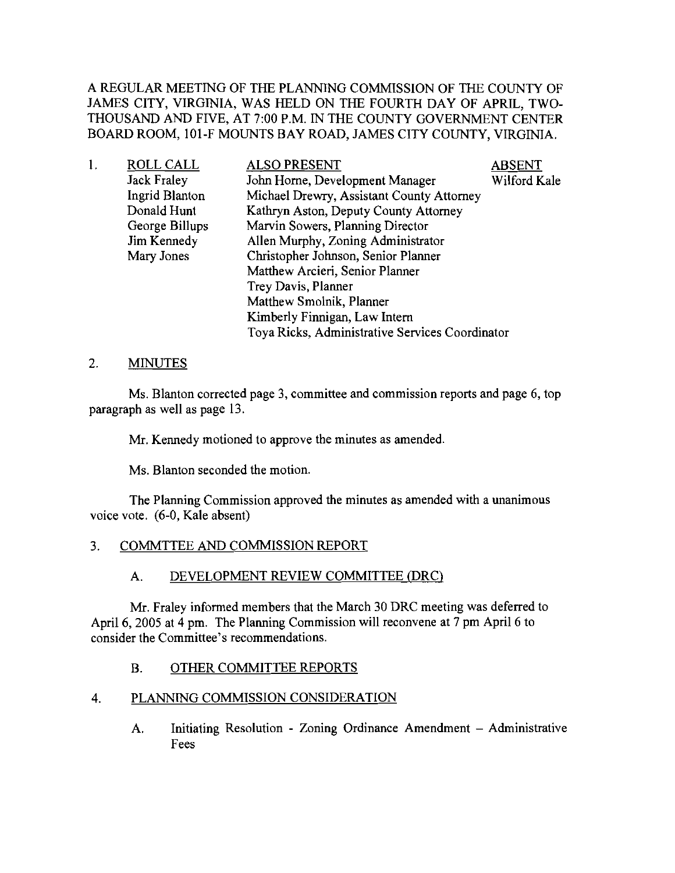A REGULAR MEETING OF THE PLANNING COMMISSION OF THE COUNTY OF JAMES CITY, VIRGINIA, WAS HELD ON THE FOURTH DAY OF APRIL, TWO-THOUSAND AND FIVE, AT 7:00 P.M. IN THE COUNTY GOVERNMENT CENTER BOARD ROOM, IOI-F MOUNTS BAY ROAD, JAMES CITY COUNTY, VIRGINIA.

| ROLL CALL          | <b>ALSO PRESENT</b>                             | <b>ABSENT</b> |
|--------------------|-------------------------------------------------|---------------|
| <b>Jack Fraley</b> | John Horne, Development Manager                 | Wilford Kale  |
| Ingrid Blanton     | Michael Drewry, Assistant County Attorney       |               |
| Donald Hunt        | Kathryn Aston, Deputy County Attorney           |               |
| George Billups     | Marvin Sowers, Planning Director                |               |
| Jim Kennedy        | Allen Murphy, Zoning Administrator              |               |
| Mary Jones         | Christopher Johnson, Senior Planner             |               |
|                    | Matthew Arcieri, Senior Planner                 |               |
|                    | Trey Davis, Planner                             |               |
|                    | Matthew Smolnik, Planner                        |               |
|                    | Kimberly Finnigan, Law Intern                   |               |
|                    | Toya Ricks, Administrative Services Coordinator |               |
|                    |                                                 |               |

### 2. MINUTES

Ms. Blanton corrected page 3, committee and commission reports and page 6, top paragraph as well as page 13.

Mr. Kennedy motioned to approve the minutes as amended.

Ms. Blanton seconded the motion.

The Planning Commission approved the minutes as amended with a unanimous voice vote. (6-0, Kale absent)

## 3. COMMTTEE AND COMMISSION REPORT

### A. DEVELOPMENT REVIEW COMMITTEE (DRC)

Mr. Fraley informed members that the March 30 DRC meeting was deferred to April 6, 2005 at 4 pm. The Planning Commission will reconvene at 7 pm April 6 to consider the Committee's recommendations.

## B. OTHER COMMITTEE REPORTS

## 4. PLANNING COMMISSION CONSIDERATION

A. Initiating Resolution - Zoning Ordinance Amendment - Administrative Fees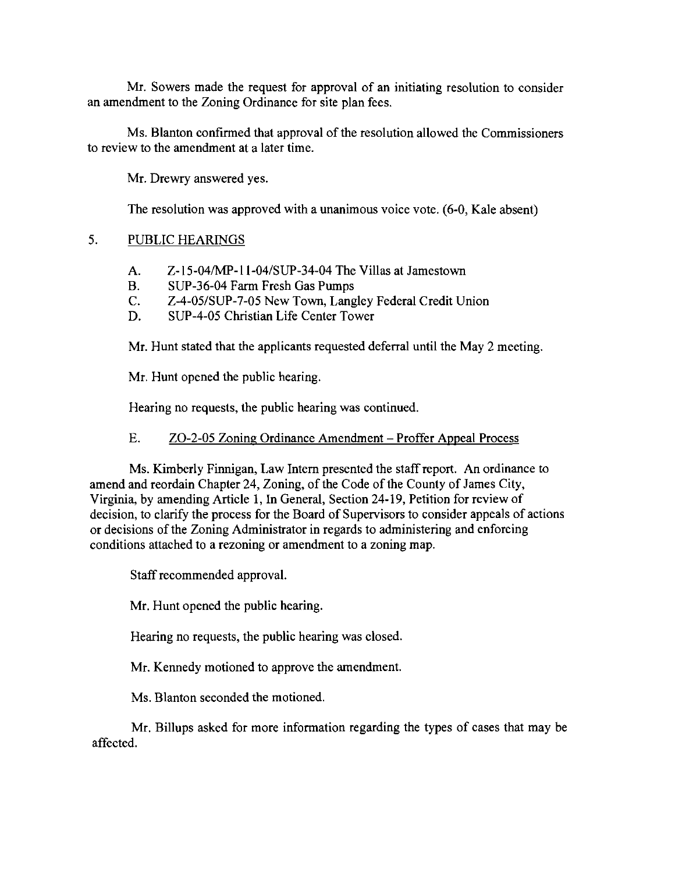Mr. Sowers made the request for approval of an initiating resolution to consider an amendment to the Zoning Ordinance for site plan fees.

Ms. Blanton confirmed that approval of the resolution allowed the Commissioners to review to the amendment at a later time.

Mr. Drewry answered yes.

The resolution was approved with a unanimous voice vote. (6-0, Kale absent)

# 5. PUBLIC HEARINGS

- A. Z-15-04/MP-11-04/SUP-34-04 The Villas at Jamestown
- B. SUP-36-04 Farm Fresh Gas Pumps
- C. Z-4-05/SUP-7-05 New Town, Langley Federal Credit Union
- D. SUP-4-05 Christian Life Center Tower

Mr. Hunt stated that the applicants requested deferral until the May 2 meeting.

Mr. Hunt opened the public hearing.

Hearing no requests, the public hearing was continued.

# E. ZO-2-05 Zoning Ordinance Amendment – Proffer Appeal Process

Ms. Kimberly Finnigan, Law Intern presented the staff report. An ordinance to amend and reordain Chapter 24, Zoning, of the Code of the County of James City, Virginia, by amending Article 1, In General, Section 24-19, Petition for review of decision, to clarify the process for the Board of Supervisors to consider appeals of actions or decisions of the Zoning Administrator in regards to administering and enforcing conditions attached to a rezoning or amendment to a zoning map.

Staff recommended approval.

Mr. Hunt opened the public hearing.

Hearing no requests, the public hearing was closed.

Mr. Kennedy motioned to approve the amendment.

Ms. Blanton seconded the motioned.

Mr. Billups asked for more information regarding the types of cases that may be affected.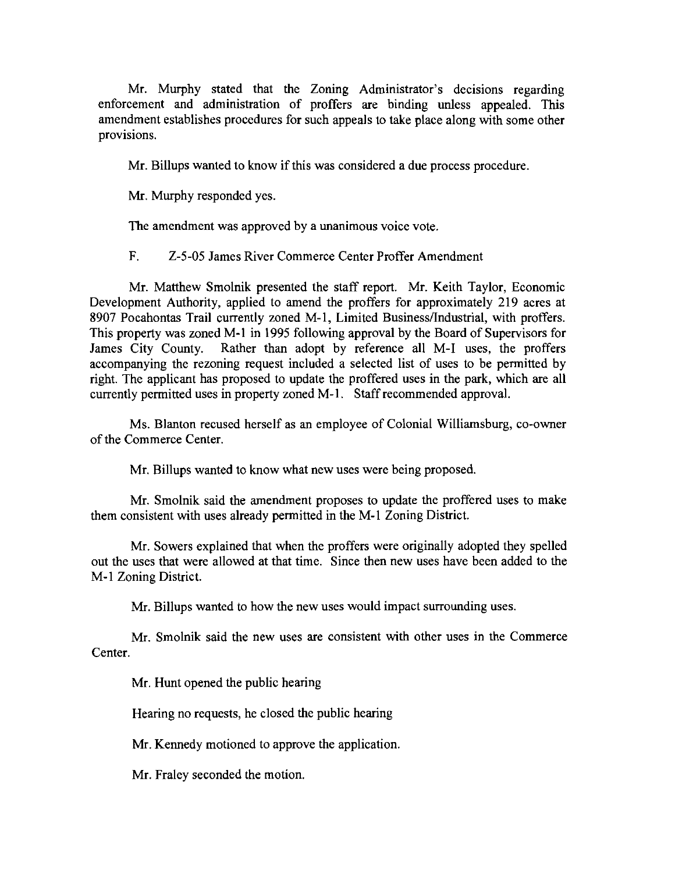Mr. Murphy stated that the Zoning Administrator's decisions regarding enforcement and administration of proffers are binding unless appealed. This amendment establishes procedures for such appeals to take place along with some other provisions.

Mr. Billups wanted to know if this was considered a due process procedure.

Mr. Murphy responded yes.

The amendment was approved by a unanimous voice vote.

F. Z-5-05 James River Commerce Center Proffer Amendment

Mr. Matthew Smolnik presented the staff report. Mr. Keith Taylor, Economic Development Authority, applied to amend the proffers for approximately 219 acres at 8907 Pocahontas Trail currently zoned M-I, Limited Business/Industrial, with proffers. This property was zoned M-I in 1995 following approval by the Board of Supervisors for James City County. Rather than adopt by reference all M-I uses, the proffers accompanying the rezoning request included a selected list of uses to be permitted by right. The applicant has proposed to update the proffered uses in the park, which are all currently permitted uses in property zoned M-I. Staff recommended approval.

Ms. Blanton recused herself as an employee of Colonial Williamsburg, co-owner of the Commerce Center.

Mr. Billups wanted to know what new uses were being proposed.

Mr. Smolnik said the amendment proposes to update the proffered uses to make them consistent with uses already permitted in the M-l Zoning District.

Mr. Sowers explained that when the proffers were originally adopted they spelled out the uses that were allowed at that time. Since then new uses have been added to the M-l Zoning District.

Mr. Billups wanted to how the new uses would impact surrounding uses.

Mr. Smolnik said the new uses are consistent with other uses in the Commerce Center.

Mr. Hunt opened the public hearing

Hearing no requests, he closed the public hearing

Mr. Kennedy motioned to approve the application.

Mr. Fraley seconded the motion.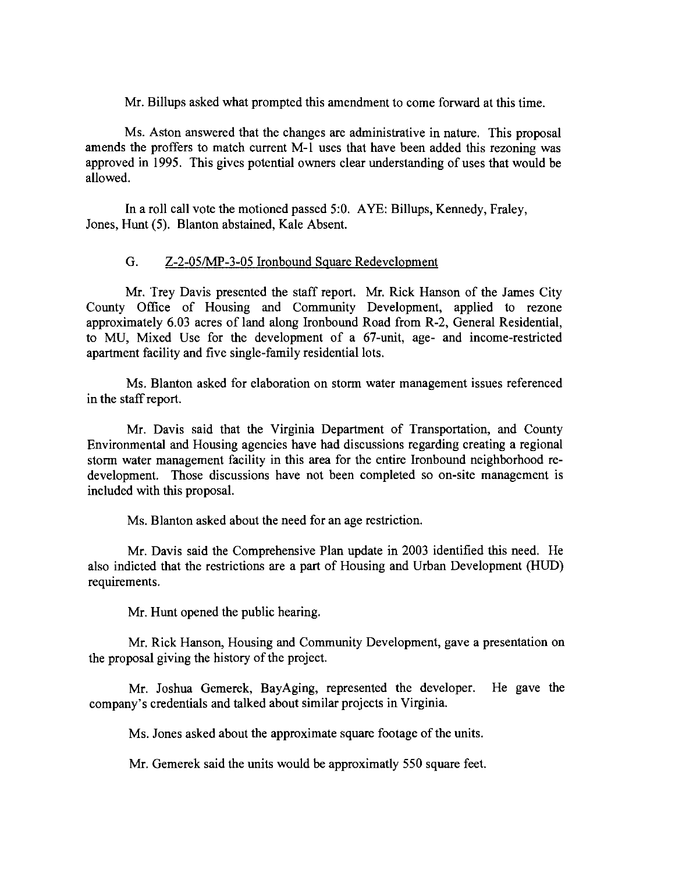Mr. Billups asked what prompted this amendment to come forward at this time.

Ms. Aston answered that the changes are administrative in nature. This proposal amends the proffers to match current M-l uses that have been added this rezoning was approved in 1995. This gives potential owners clear understanding of uses that would be allowed.

In a roll call vote the motioned passed 5:0. AYE: Billups, Kennedy, Fraley, Jones, Hunt (5). Blanton abstained, Kale Absent.

## G. Z-2-05/MP-3-05 Ironbound Square Redevelopment

Mr. Trey Davis presented the staff report. Mr. Rick Hanson of the James City County Office of Housing and Community Development, applied to rezone approximately 6.03 acres of land along Ironbound Road from R-2, General Residential, to MU, Mixed Use for the development of a 67-unit, age- and income-restricted apartment facility and five single-family residential lots.

Ms. Blanton asked for elaboration on storm water management issues referenced in the staff report.

Mr. Davis said that the Virginia Department of Transportation, and County Environmental and Housing agencies have had discussions regarding creating a regional storm water management facility in this area for the entire Ironbound neighborhood redevelopment. Those discussions have not been completed so on-site management is included with this proposal.

Ms. Blanton asked about the need for an age restriction.

Mr. Davis said the Comprehensive Plan update in 2003 identified this need. He also indicted that the restrictions are a part of Housing and Urban Development (HUD) requirements.

Mr. Hunt opened the public hearing.

Mr. Rick Hanson, Housing and Community Development, gave a presentation on the proposal giving the history of the project.

Mr. Joshua Gemerek, BayAging, represented the developer. He gave the company's credentials and talked about similar projects in Virginia.

Ms. Jones asked about the approximate square footage of the units.

Mr. Gemerek said the units would be approximatly 550 square feet.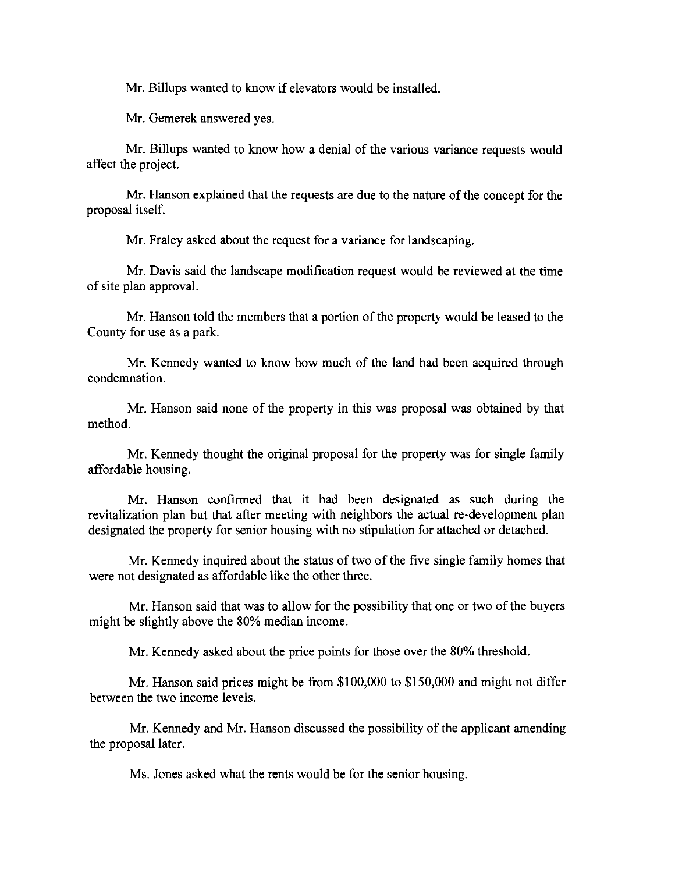Mr. Billups wanted to know if elevators would be installed.

Mr. Gemerek answered yes.

Mr. Billups wanted to know how a denial of the various variance requests would affect the project.

Mr. Hanson explained that the requests are due to the nature of the concept for the proposal itself.

Mr. Fraley asked about the request for a variance for landscaping.

Mr. Davis said the landscape modification request would be reviewed at the time of site plan approval.

Mr. Hanson told the members that a portion of the property would be leased to the County for use as a park.

Mr. Kennedy wanted to know how much of the land had been acquired through condemnation.

Mr. Hanson said none of the property in this was proposal was obtained by that method.

Mr. Kennedy thought the original proposal for the property was for single family affordable housing.

Mr. Hanson confirmed that it had been designated as such during the revitalization plan but that after meeting with neighbors the actual re-development plan designated the property for senior housing with no stipulation for attached or detached.

Mr. Kennedy inquired about the status of two of the five single family homes that were not designated as affordable like the other three.

Mr. Hanson said that was to allow for the possibility that one or two of the buyers might be slightly above the 80% median income.

Mr. Kennedy asked about the price points for those over the 80% threshold.

Mr. Hanson said prices might be from \$100,000 to \$150,000 and might not differ between the two income levels.

Mr. Kennedy and Mr. Hanson discussed the possibility of the applicant amending the proposal later.

Ms. Jones asked what the rents would be for the senior housing.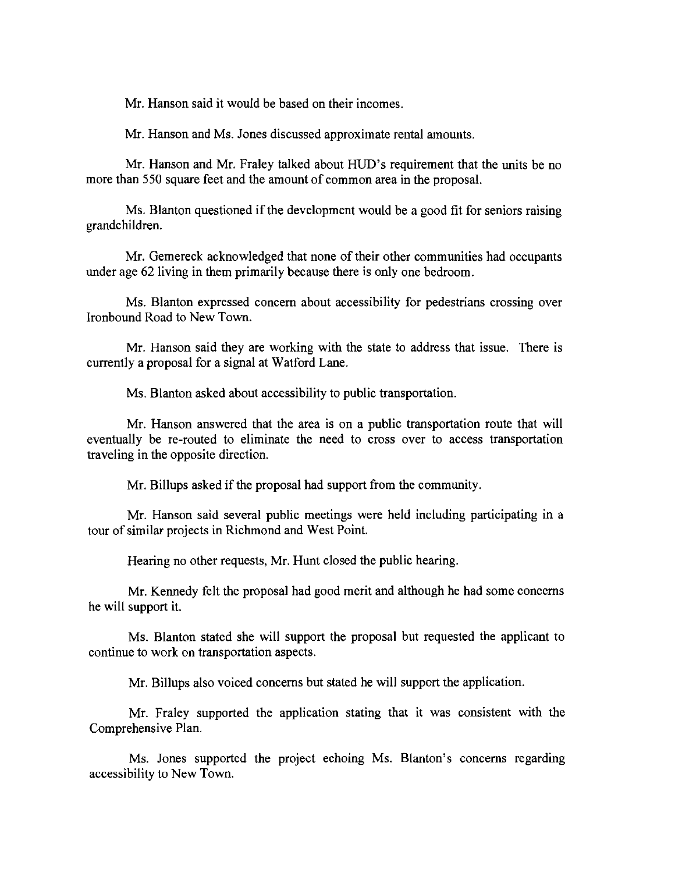Mr. Hanson said it would be based on their incomes.

Mr. Hanson and Ms. Jones discussed approximate rental amounts.

Mr. Hanson and Mr. Fraley talked about HUD's requirement that the units be no more than 550 square feet and the amount of common area in the proposal.

Ms. Blanton questioned if the development would be a good fit for seniors raising grandchildren.

Mr. Gemereck acknowledged that none of their other communities had occupants under age 62 living in them primarily because there is only one bedroom.

Ms. Blanton expressed concern about accessibility for pedestrians crossing over Ironbound Road to New Town.

Mr. Hanson said they are working with the state to address that issue. There is currently a proposal for a signal at Watford Lane.

Ms. Blanton asked about accessibility to public transportation.

Mr. Hanson answered that the area is on a public transportation route that will eventually be re-routed to eliminate the need to cross over to access transportation traveling in the opposite direction.

Mr. Billups asked if the proposal had support from the community.

Mr. Hanson said several public meetings were held including participating in a tour of similar projects in Richmond and West Point.

Hearing no other requests, Mr. Hunt closed the public hearing.

Mr. Kennedy felt the proposal had good merit and although he had some concerns he will support it.

Ms. Blanton stated she will support the proposal but requested the applicant to continue to work on transportation aspects.

Mr. Billups also voiced concerns but stated he will support the application.

Mr. Fraley supported the application stating that it was consistent with the Comprehensive Plan.

Ms. Jones supported the project echoing Ms. Blanton's concerns regarding accessibility to New Town.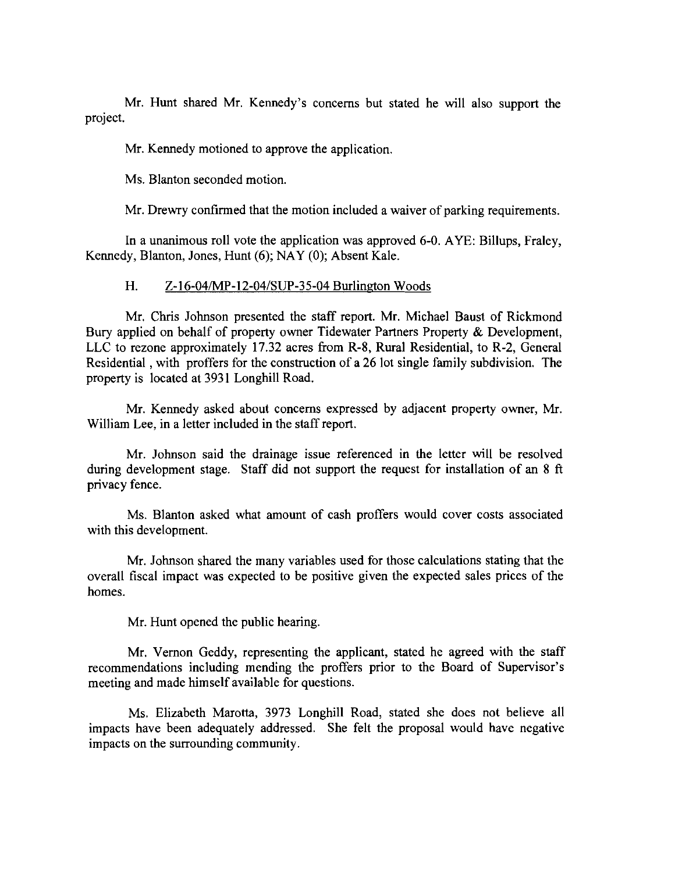Mr. Hunt shared Mr. Kennedy's concerns but stated he will also support the project.

Mr. Kennedy motioned to approve the application.

Ms. Blanton seconded motion.

Mr. Drewry confirmed that the motion included a waiver of parking requirements.

In a unanimous roll vote the application was approved 6-0. AYE: Billups, Fraley, Kennedy, Blanton, Jones, Hunt (6); NAY (0); Absent Kale.

### H. Z-16-04/MP-12-04/SUP-35-04 Burlington Woods

Mr. Chris Johnson presented the staff report. Mr. Michael Baust of Rickmond Bury applied on behalf of property owner Tidewater Partners Property & Development, LLC to rezone approximately 17.32 acres from R-8, Rural Residential, to R-2, General Residential, with proffers for the construction of a 26 lot single family subdivision. The property is located at 3931 Longhill Road.

Mr. Kennedy asked about concerns expressed by adjacent property owner, Mr. William Lee, in a letter included in the staff report.

Mr. Johnson said the drainage issue referenced in the letter will be resolved during development stage. Staff did not support the request for installation of an 8 ft privacy fence.

Ms. Blanton asked what amount of cash proffers would cover costs associated with this development.

Mr. Johnson shared the many variables used for those calculations stating that the overall fiscal impact was expected to be positive given the expected sales prices of the homes.

Mr. Hunt opened the public hearing.

Mr. Vernon Geddy, representing the applicant, stated he agreed with the staff recommendations including mending the proffers prior to the Board of Supervisor's meeting and made himself available for questions.

Ms. Elizabeth Marotta, 3973 Longhill Road, stated she does not believe all impacts have been adequately addressed. She felt the proposal would have negative impacts on the surrounding community.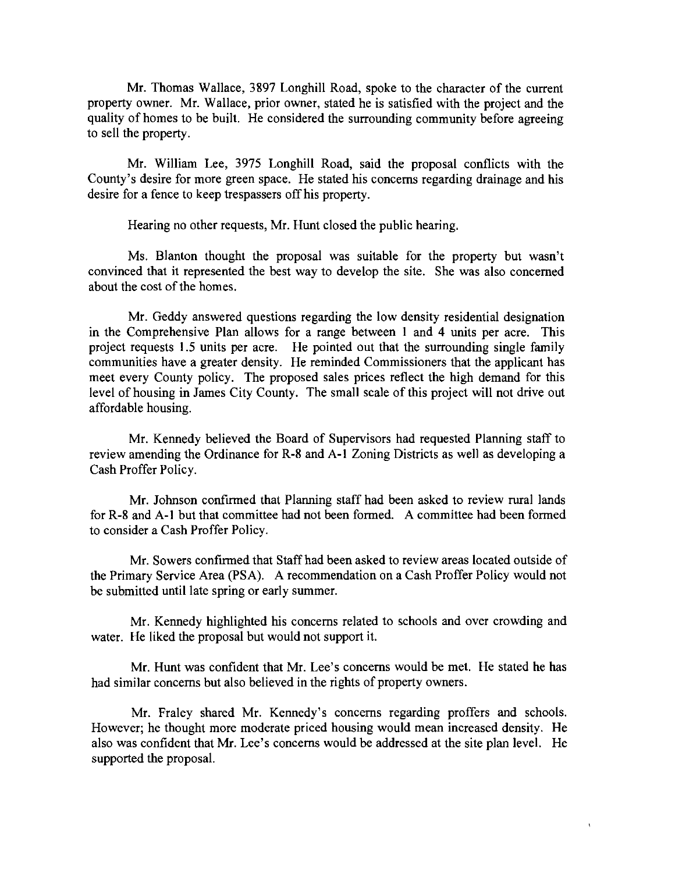Mr. Thomas Wallace, 3897 Longhill Road, spoke to the character of the current property owner. Mr. Wallace, prior owner, stated he is satisfied with the project and the quality of homes to be built. He considered the surrounding community before agreeing to sell the property.

Mr. William Lee, 3975 Longhill Road, said the proposal conflicts with the County's desire for more green space. He stated his concerns regarding drainage and his desire for a fence to keep trespassers off his property.

Hearing no other requests, Mr. Hunt closed the public hearing.

Ms. Blanton thought the proposal was suitable for the property but wasn't convinced that it represented the best way to develop the site. She was also concerned about the cost of the homes.

Mr. Geddy answered questions regarding the low density residential designation in the Comprehensive Plan allows for a range between I and 4 units per acre. This project requests 1.5 units per acre. He pointed out that the surrounding single family communities have a greater density. He reminded Commissioners that the applicant has meet every County policy. The proposed sales prices reflect the high demand for this level of housing in James City County. The small scale of this project will not drive out affordable housing.

Mr. Kennedy believed the Board of Supervisors had requested Planning staff to review amending the Ordinance for R-8 and A-I Zoning Districts as well as developing a Cash Proffer Policy.

Mr. Johnson confirmed that Planning staff had been asked to review rural lands for R-8 and A-I but that committee had not been formed. A committee had been formed to consider a Cash Proffer Policy.

Mr. Sowers confirmed that Staff had been asked to review areas located outside of the Primary Service Area (PSA). A recommendation on a Cash Proffer Policy would not be submitted until late spring or early summer.

Mr. Kennedy highlighted his concerns related to schools and over crowding and water. He liked the proposal but would not support it.

Mr. Hunt was confident that Mr. Lee's concerns would be met. He stated he has had similar concerns but also believed in the rights of property owners.

Mr. Fraley shared Mr. Kennedy's concerns regarding proffers and schools. However; he thought more moderate priced housing would mean increased density. He also was confident that Mr. Lee's concerns would be addressed at the site plan level. He supported the proposal.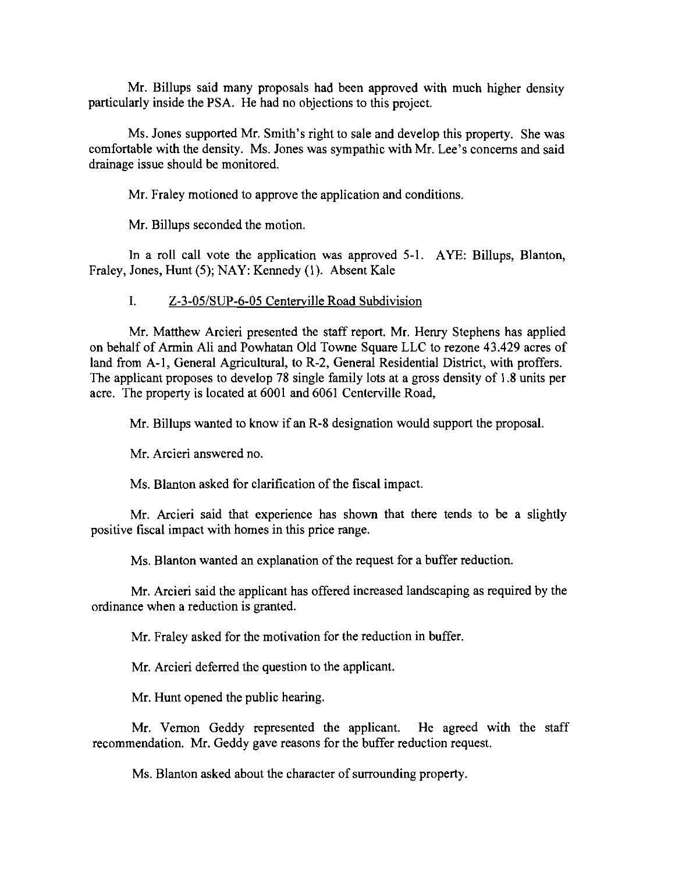Mr. Billups said many proposals had been approved with much higher density particularly inside the PSA. He had no objections to this project.

Ms. Jones supported Mr. Smith's right to sale and develop this property. She was comfortable with the density. Ms. Jones was sympathic with Mr. Lee's concerns and said drainage issue should be monitored.

Mr. Fraley motioned to approve the application and conditions.

Mr. Billups seconded the motion.

In a roll call vote the application was approved 5-1. AYE: Billups, Blanton, Fraley, Jones, Hunt (5); NAY: Kennedy (I). Absent Kale

## I. Z-3-05/SUP-6-05 Centerville Road Subdivision

Mr. Matthew Arcieri presented the staff report. Mr. Henry Stephens has applied on behalf of Armin Ali and Powhatan Old Towne Square LLC to rezone 43.429 acres of land from A-I, General Agricultural, to R-2, General Residential District, with proffers. The applicant proposes to develop 78 single family lots at a gross density of 1.8 units per acre. The property is located at 6001 and 6061 Centerville Road,

Mr. Billups wanted to know if an R-8 designation would support the proposal.

Mr. Arcieri answered no.

Ms. Blanton asked for clarification of the fiscal impact.

Mr. Arcieri said that experience has shown that there tends to be a slightly positive fiscal impact with homes in this price range.

Ms. Blanton wanted an explanation of the request for a buffer reduction.

Mr. Arcieri said the applicant has offered increased landscaping as required by the ordinance when a reduction is granted.

Mr. Fraley asked for the motivation for the reduction in buffer.

Mr. Arcieri deferred the question to the applicant.

Mr. Hunt opened the public hearing.

Mr. Vernon Geddy represented the applicant. He agreed with the staff recommendation. Mr. Geddy gave reasons for the buffer reduction request.

Ms. Blanton asked about the character of surrounding property.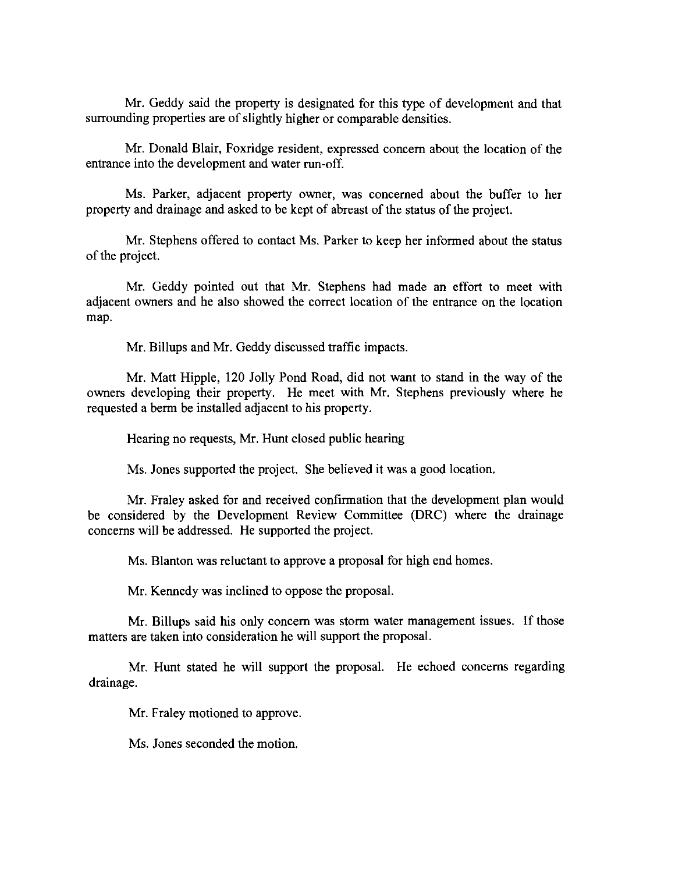Mr. Geddy said the property is designated for this type of development and that surrounding properties are of slightly higher or comparable densities.

Mr. Donald Blair, Foxridge resident, expressed concern about the location of the entrance into the development and water run-off.

Ms. Parker, adjacent property owner, was concerned about the buffer to her property and drainage and asked to be kept of abreast of the status of the project.

Mr. Stephens offered to contact Ms. Parker to keep her informed about the status of the project.

Mr. Geddy pointed out that Mr. Stephens had made an effort to meet with adjacent owners and he also showed the correct location of the entrance on the location map.

Mr. Billups and Mr. Geddy discussed traffic impacts.

Mr. Matt Hipple, 120 Jolly Pond Road, did not want to stand in the way of the owners developing their property. He meet with Mr. Stephens previously where he requested a berm be installed adjacent to his property.

Hearing no requests, Mr. Hunt closed public hearing

Ms. Jones supported the project. She believed it was a good location.

Mr. Fraley asked for and received confirmation that the development plan would be considered by the Development Review Committee (DRC) where the drainage concerns will be addressed. He supported the project.

Ms. Blanton was reluctant to approve a proposal for high end homes.

Mr. Kennedy was inclined to oppose the proposal.

Mr. Billups said his only concern was storm water management issues. If those matters are taken into consideration he will support the proposal.

Mr. Hunt stated he will support the proposal. He echoed concerns regarding drainage.

Mr. Fraley motioned to approve.

Ms. Jones seconded the motion.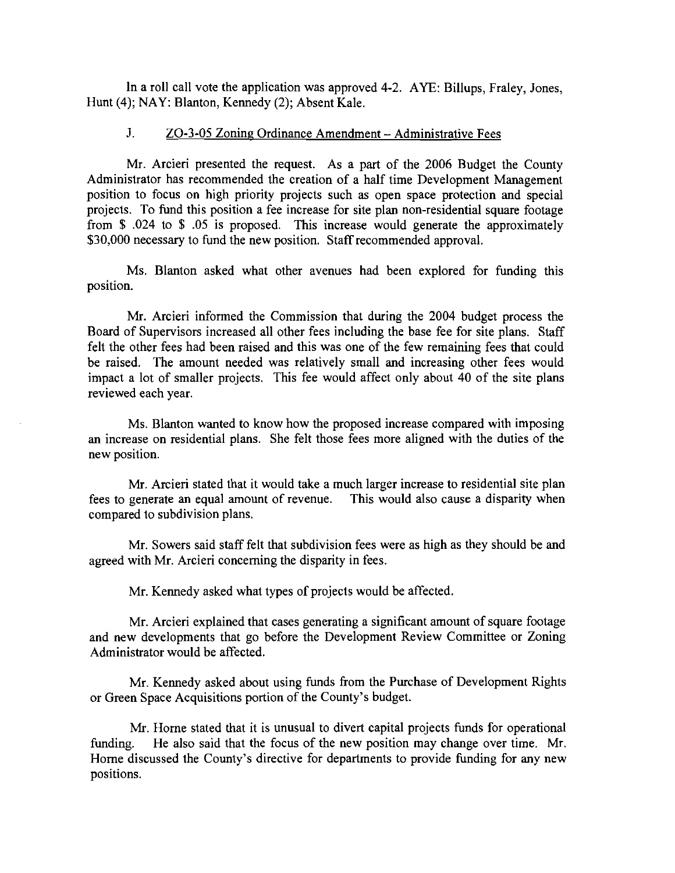In a roll call vote the application was approved 4-2. AYE: Billups, Fraley, Jones, Hunt (4); NAY: Blanton, Kennedy (2); Absent Kale.

# J. ZO-3-05 Zoning Ordinance Amendment - Administrative Fees

Mr. Arcieri presented the request. As a part of the 2006 Budget the County Administrator has recommended the creation of a half time Development Management position to focus on high priority projects such as open space protection and special projects. To fund this position a fee increase for site plan non-residential square footage from \$ .024 to \$ .05 is proposed. This increase would generate the approximately \$30,000 necessary to fund the new position. Staff recommended approval.

Ms. Blanton asked what other avenues had been explored for funding this position.

Mr. Arcieri informed the Commission that during the 2004 budget process the Board of Supervisors increased all other fees including the base fee for site plans. Staff felt the other fees had been raised and this was one of the few remaining fees that could be raised. The amount needed was relatively small and increasing other fees would impact a lot of smaller projects. This fee would affect only about 40 of the site plans reviewed each year.

Ms. Blanton wanted to know how the proposed increase compared with imposing an increase on residential plans. She felt those fees more aligned with the duties of the new position.

Mr. Arcieri stated that it would take a much larger increase to residential site plan fees to generate an equal amount of revenue. This would also cause a disparity when compared to subdivision plans.

Mr. Sowers said staff felt that subdivision fees were as high as they should be and agreed with Mr. Arcieri concerning the disparity in fees.

Mr. Kennedy asked what types of projects would be affected.

Mr. Arcieri explained that cases generating a significant amount of square footage and new developments that go before the Development Review Committee or Zoning Administrator would be affected.

Mr. Kennedy asked about using funds from the Purchase of Development Rights or Green Space Acquisitions portion of the County's budget.

Mr. Home stated that it is unusual to divert capital projects funds for operational funding. He also said that the focus of the new position may change over time. Mr. Home discussed the County's directive for departments to provide funding for any new positions.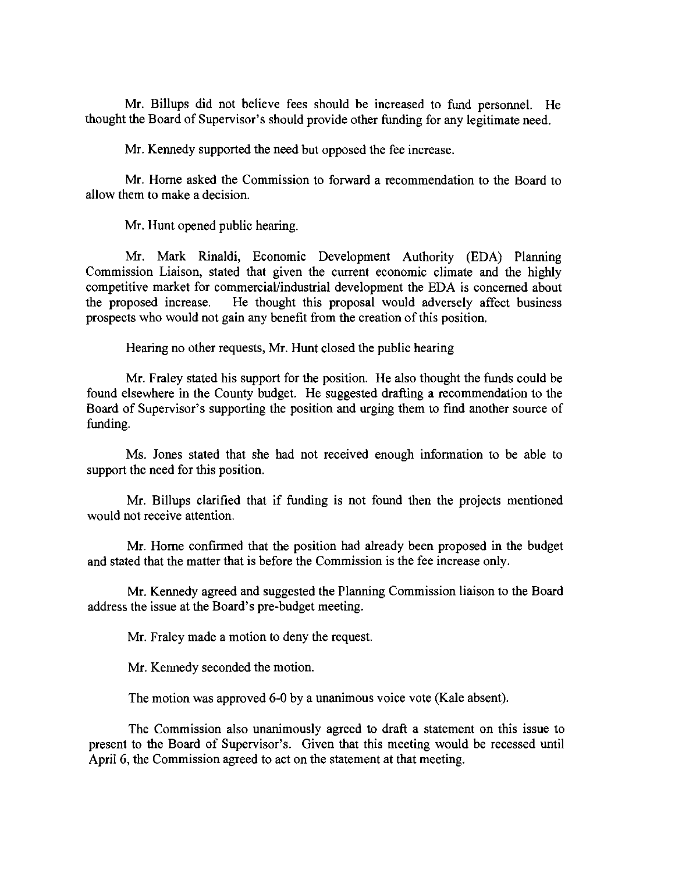Mr. Billups did not believe fees should be increased to fund personnel. He thought the Board of Supervisor's should provide other funding for any legitimate need.

Mr. Kennedy supported the need but opposed the fee increase.

Mr. Horne asked the Commission to forward a recommendation to the Board to allow them to make a decision.

Mr. Hunt opened public hearing.

Mr. Mark Rinaldi, Economic Development Authority (EDA) Planning Commission Liaison, stated that given the current economic climate and the highly competitive market for commercial/industrial development the EDA is concerned about the proposed increase. He thought this proposal would adversely affect business prospects who would not gain any benefit from the creation of this position.

Hearing no other requests, Mr. Hunt closed the public hearing

Mr. Fraley stated his support for the position. He also thought the funds could be found elsewhere in the County budget. He suggested drafting a recommendation to the Board of Supervisor's supporting the position and urging them to find another source of funding.

Ms. Jones stated that she had not received enough information to be able to support the need for this position.

Mr. Billups clarified that if funding is not found then the projects mentioned would not receive attention.

Mr. Horne confirmed that the position had already been proposed in the budget and stated that the matter that is before the Commission is the fee increase only.

Mr. Kennedy agreed and suggested the Planning Commission liaison to the Board address the issue at the Board's pre-budget meeting.

Mr. Fraley made a motion to deny the request.

Mr. Kennedy seconded the motion.

The motion was approved 6-0 by a unanimous voice vote (Kale absent).

The Commission also unanimously agreed to draft a statement on this issue to present to the Board of Supervisor's. Given that this meeting would be recessed until April 6, the Commission agreed to act on the statement at that meeting.